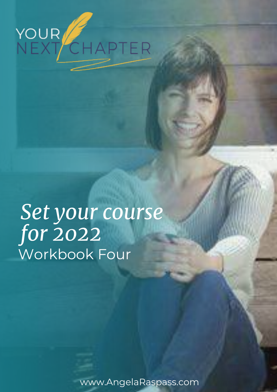

# *Set your course for 2022* Workbook Four

www.AngelaRaspass.com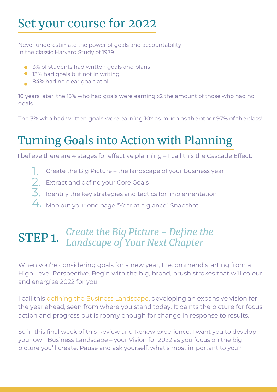## Set your course for 2022

Never underestimate the power of goals and accountability In the classic Harvard Study of 1979

- 3% of students had written goals and plans
- **13% had goals but not in writing**
- 84% had no clear goals at all

10 years later, the 13% who had goals were earning x2 the amount of those who had no goals

The 3% who had written goals were earning 10x as much as the other 97% of the class!

## Turning Goals into Action with Planning

I believe there are 4 stages for effective planning – I call this the Cascade Effect:

- Create the Big Picture the landscape of your business year 1.
- 2. Extract and define your Core Goals
- Identify the key strategies and tactics for implementation  $\overline{3}$ .
- 4. Map out your one page "Year at a glance" Snapshot

## STEP 1. *Create the Big Picture - Define the Landscape of Your Next Chapter*

When you're considering goals for a new year, I recommend starting from a High Level Perspective. Begin with the big, broad, brush strokes that will colour and energise 2022 for you

I call this defining the Business Landscape, developing an expansive vision for the year ahead, seen from where you stand today. It paints the picture for focus, action and progress but is roomy enough for change in response to results.

So in this final week of this Review and Renew experience, I want you to develop your own Business Landscape – your Vision for 2022 as you focus on the big picture you'll create. Pause and ask yourself, what's most important to you?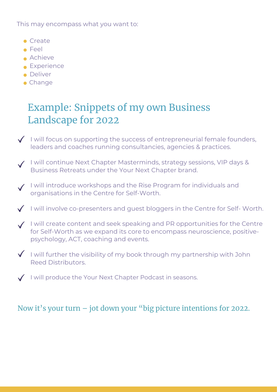This may encompass what you want to:

- Create
- Feel
- Achieve
- **Experience**
- **•** Deliver
- Change

## Example: Snippets of my own Business Landscape for 2022

- $\sqrt{ }$  I will focus on supporting the success of entrepreneurial female founders, leaders and coaches running consultancies, agencies & practices.
- V I will continue Next Chapter Masterminds, strategy sessions, VIP days & Business Retreats under the Your Next Chapter brand.
- I will introduce workshops and the Rise Program for individuals and organisations in the Centre for Self-Worth.
- $\checkmark$  I will involve co-presenters and guest bloggers in the Centre for Self-Worth.
- $\checkmark$  I will create content and seek speaking and PR opportunities for the Centre for Self-Worth as we expand its core to encompass neuroscience, positivepsychology, ACT, coaching and events.
- $\checkmark$  I will further the visibility of my book through my partnership with John Reed Distributors.
- $\sqrt{ }$  I will produce the Your Next Chapter Podcast in seasons.

### Now it's your turn – jot down your "big picture intentions for 2022.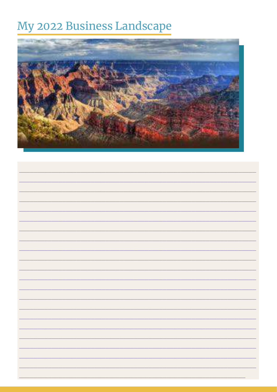## My 2022 Business Landscape

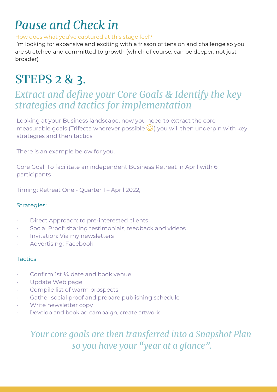## *Pause and Check in*

#### How does what you've captured at this stage feel?

I'm looking for expansive and exciting with a frisson of tension and challenge so you are stretched and committed to growth (which of course, can be deeper, not just broader)

## STEPS 2 & 3.

## *Extract and define your Core Goals & Identify the key strategies and tactics for implementation*

Looking at your Business landscape, now you need to extract the core measurable goals (Trifecta wherever possible  $\bigcirc$ ) you will then underpin with key strategies and then tactics.

There is an example below for you.

Core Goal: To facilitate an independent Business Retreat in April with 6 participants

Timing: Retreat One - Quarter 1 – April 2022,

#### Strategies:

- Direct Approach: to pre-interested clients
- · Social Proof: sharing testimonials, feedback and videos
- · Invitation: Via my newsletters
- · Advertising: Facebook

#### **Tactics**

- Confirm 1st 1/4 date and book venue
- Update Web page
- Compile list of warm prospects
- Gather social proof and prepare publishing schedule
- · Write newsletter copy
- Develop and book ad campaign, create artwork

*Your core goals are then transferred into a Snapshot Plan so you have your "year at a glance".*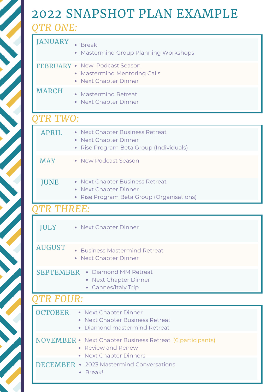# 2022 SNAPSHOT PLAN EXAMPLE

*QTR ONE:*

| <b>JANUARY</b>    | <b>Break</b><br><b>Mastermind Group Planning Workshops</b>                                                                 |
|-------------------|----------------------------------------------------------------------------------------------------------------------------|
|                   | FEBRUARY . New Podcast Season<br><b>Mastermind Mentoring Calls</b><br><b>Next Chapter Dinner</b>                           |
| <b>MARCH</b>      | <b>Mastermind Retreat</b><br><b>Next Chapter Dinner</b>                                                                    |
| TR TWO:           |                                                                                                                            |
| <b>APRIL</b>      | <b>Next Chapter Business Retreat</b><br><b>Next Chapter Dinner</b><br>Rise Program Beta Group (Individuals)                |
| <b>MAY</b>        | • New Podcast Season                                                                                                       |
| <b>JUNE</b>       | <b>Next Chapter Business Retreat</b><br>$\bullet$<br><b>Next Chapter Dinner</b><br>Rise Program Beta Group (Organisations) |
| <b>OTR THREE:</b> |                                                                                                                            |
| JULY              | • Next Chapter Dinner                                                                                                      |
| <b>AUGUST</b>     | <b>Business Mastermind Retreat</b><br><b>Next Chapter Dinner</b><br>$\bullet$                                              |
| <b>SEPTEMBER</b>  | Diamond MM Retreat<br>$\bullet$<br><b>Next Chapter Dinner</b><br>Cannes/Italy Trip                                         |
| <b>QTR FOUR:</b>  |                                                                                                                            |
| <b>OCTOBER</b>    | • Next Chapter Dinner<br><b>Next Chapter Business Retreat</b><br>Diamond mastermind Retreat<br>$\bullet$                   |
| NOVEMBER ·        | Next Chapter Business Retreat (6 participants)<br><b>Review and Renew</b><br><b>Next Chapter Dinners</b>                   |
| DECEMBER          | 2023 Mastermind Conversations<br>$\bullet$<br>Break!                                                                       |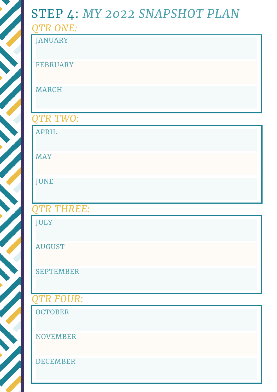# STEP 4: *MY 2022 SNAPSHOT PLAN*

| QTR ONE:          |
|-------------------|
| <b>JANUARY</b>    |
| <b>FEBRUARY</b>   |
| <b>MARCH</b>      |
| QTR TWO:          |
| <b>APRIL</b>      |
| <b>MAY</b>        |
| <b>JUNE</b>       |
| <b>QTR THREE:</b> |
| <b>JULY</b>       |
| <b>AUGUST</b>     |
| <b>SEPTEMBER</b>  |
| QTR FOUR:         |
| <b>OCTOBER</b>    |
| <b>NOVEMBER</b>   |
| <b>DECEMBER</b>   |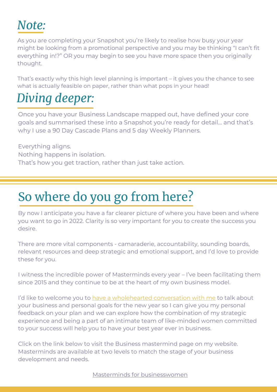## *Note:*

As you are completing your Snapshot you're likely to realise how busy your year might be looking from a promotional perspective and you may be thinking "I can't fit everything in!?" OR you may begin to see you have more space then you originally thought.

That's exactly why this high level planning is important – it gives you the chance to see what is actually feasible on paper, rather than what pops in your head!

## *Diving deeper:*

Once you have your Business Landscape mapped out, have defined your core goals and summarised these into a Snapshot you're ready for detail… and that's why I use a 90 Day Cascade Plans and 5 day Weekly Planners.

Everything aligns. Nothing happens in isolation. That's how you get traction, rather than just take action.

# So where do you go from here?

By now I anticipate you have a far clearer picture of where you have been and where you want to go in 2022. Clarity is so very important for you to create the success you desire.

There are more vital components - camaraderie, accountability, sounding boards, relevant resources and deep strategic and emotional support, and I'd love to provide these for you.

I witness the incredible power of Masterminds every year – I've been facilitating them since 2015 and they continue to be at the heart of my own business model.

I'd like to welcome you to [have a wholehearted conversation with me](https://www.yournextchapter.com.au/lets-talk/) to talk about your business and personal goals for the new year so I can give you my personal feedback on your plan and we can explore how the combination of my strategic experience and being a part of an intimate team of like-minded women committed to your success will help you to have your best year ever in business.

Click on the link below to visit the Business mastermind page on my website. Masterminds are available at two levels to match the stage of your business development and needs.

[Masterminds for businesswomen](https://www.yournextchapter.com.au/business-mastermind-for-women/)